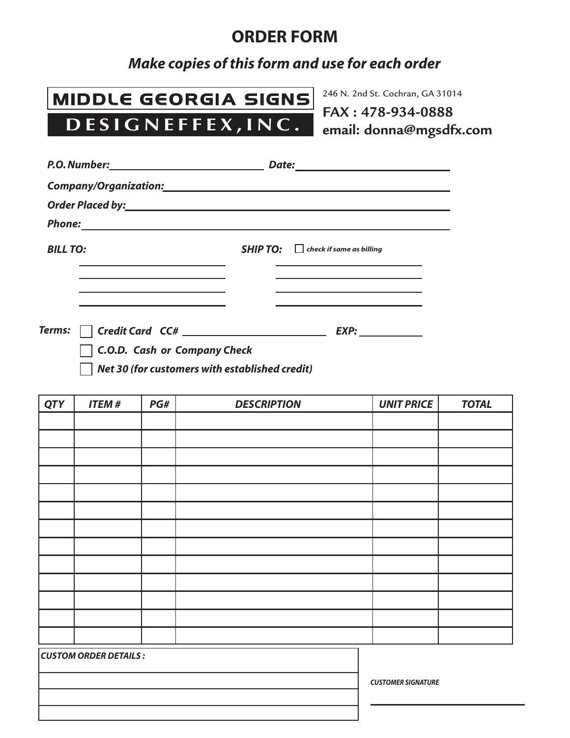## **ORDER FORM**

### *Make copies of this form and use for each order*

# MIDDLE GEORGIA SIGNS **DESIGNEFFEX,INC.**

246 N. 2nd St. Cochran, GA 31014 **FAX : 478-934-0888 email: donna@mgsdfx.com**

|                                                                                                                                                                                                                                | Date:                                                                                                                                                                        |  |
|--------------------------------------------------------------------------------------------------------------------------------------------------------------------------------------------------------------------------------|------------------------------------------------------------------------------------------------------------------------------------------------------------------------------|--|
|                                                                                                                                                                                                                                | Company/Organization: Company/Organization:                                                                                                                                  |  |
| Order Placed by: North Contract of the Contract of the Contract of the Contract of the Contract of the Contract of the Contract of the Contract of the Contract of the Contract of the Contract of the Contract of the Contrac |                                                                                                                                                                              |  |
|                                                                                                                                                                                                                                |                                                                                                                                                                              |  |
| <b>BILL TO:</b>                                                                                                                                                                                                                | $SHIP TO:$ $\Box$ check if same as billing                                                                                                                                   |  |
|                                                                                                                                                                                                                                |                                                                                                                                                                              |  |
| the control of the control of the control of the control of the control of the control of                                                                                                                                      | the contract of the contract of the contract of the contract of the contract of<br>the control of the control of the control of the control of the control of the control of |  |
|                                                                                                                                                                                                                                | EXP:                                                                                                                                                                         |  |

*C.O.D. Cash or Company Check*

*Net 30 (for customers with established credit)* 

| <b>QTY</b>                   | <b>ITEM#</b> | PG# | <b>DESCRIPTION</b>        | <b>UNIT PRICE</b> | <b>TOTAL</b> |  |
|------------------------------|--------------|-----|---------------------------|-------------------|--------------|--|
|                              |              |     |                           |                   |              |  |
|                              |              |     |                           |                   |              |  |
|                              |              |     |                           |                   |              |  |
|                              |              |     |                           |                   |              |  |
|                              |              |     |                           |                   |              |  |
|                              |              |     |                           |                   |              |  |
|                              |              |     |                           |                   |              |  |
|                              |              |     |                           |                   |              |  |
|                              |              |     |                           |                   |              |  |
|                              |              |     |                           |                   |              |  |
|                              |              |     |                           |                   |              |  |
|                              |              |     |                           |                   |              |  |
|                              |              |     |                           |                   |              |  |
| <b>CUSTOM ORDER DETAILS:</b> |              |     |                           |                   |              |  |
|                              |              |     | <b>CUSTOMER SIGNATURE</b> |                   |              |  |
|                              |              |     |                           |                   |              |  |